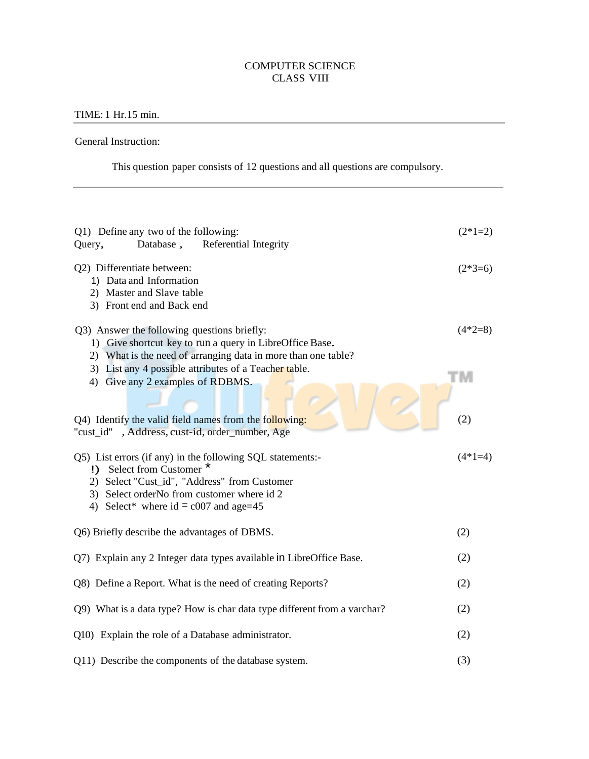## COMPUTER SCIENCE CLASS VIII

## TIME: 1 Hr.15 min.

General Instruction:

This question paper consists of 12 questions and all questions are compulsory.

| Q1) Define any two of the following:<br>Query,<br>Database,<br>Referential Integrity                                                                                                                                           | $(2*1=2)$ |  |  |  |
|--------------------------------------------------------------------------------------------------------------------------------------------------------------------------------------------------------------------------------|-----------|--|--|--|
| Q2) Differentiate between:<br>1) Data and Information<br>2) Master and Slave table<br>3) Front end and Back end                                                                                                                | $(2*3=6)$ |  |  |  |
| Q3) Answer the following questions briefly:<br>1) Give shortcut key to run a query in LibreOffice Base.<br>2) What is the need of arranging data in more than one table?                                                       | $(4*2=8)$ |  |  |  |
| 3) List any 4 possible attributes of a Teacher table.<br>4) Give any 2 examples of RDBMS.                                                                                                                                      | M         |  |  |  |
| Q4) Identify the valid field names from the following:<br>"cust_id", Address, cust-id, order_number, Age                                                                                                                       | (2)       |  |  |  |
| Q5) List errors (if any) in the following SQL statements:-<br>!) Select from Customer<br>2) Select "Cust_id", "Address" from Customer<br>3) Select orderNo from customer where id 2<br>4) Select* where $id = c007$ and age=45 | $(4*1=4)$ |  |  |  |
| Q6) Briefly describe the advantages of DBMS.                                                                                                                                                                                   | (2)       |  |  |  |
| Q7) Explain any 2 Integer data types available in LibreOffice Base.                                                                                                                                                            |           |  |  |  |
| Q8) Define a Report. What is the need of creating Reports?                                                                                                                                                                     |           |  |  |  |
| Q9) What is a data type? How is char data type different from a varchar?                                                                                                                                                       |           |  |  |  |
| Q10) Explain the role of a Database administrator.                                                                                                                                                                             |           |  |  |  |
| Q11) Describe the components of the database system.                                                                                                                                                                           | (3)       |  |  |  |